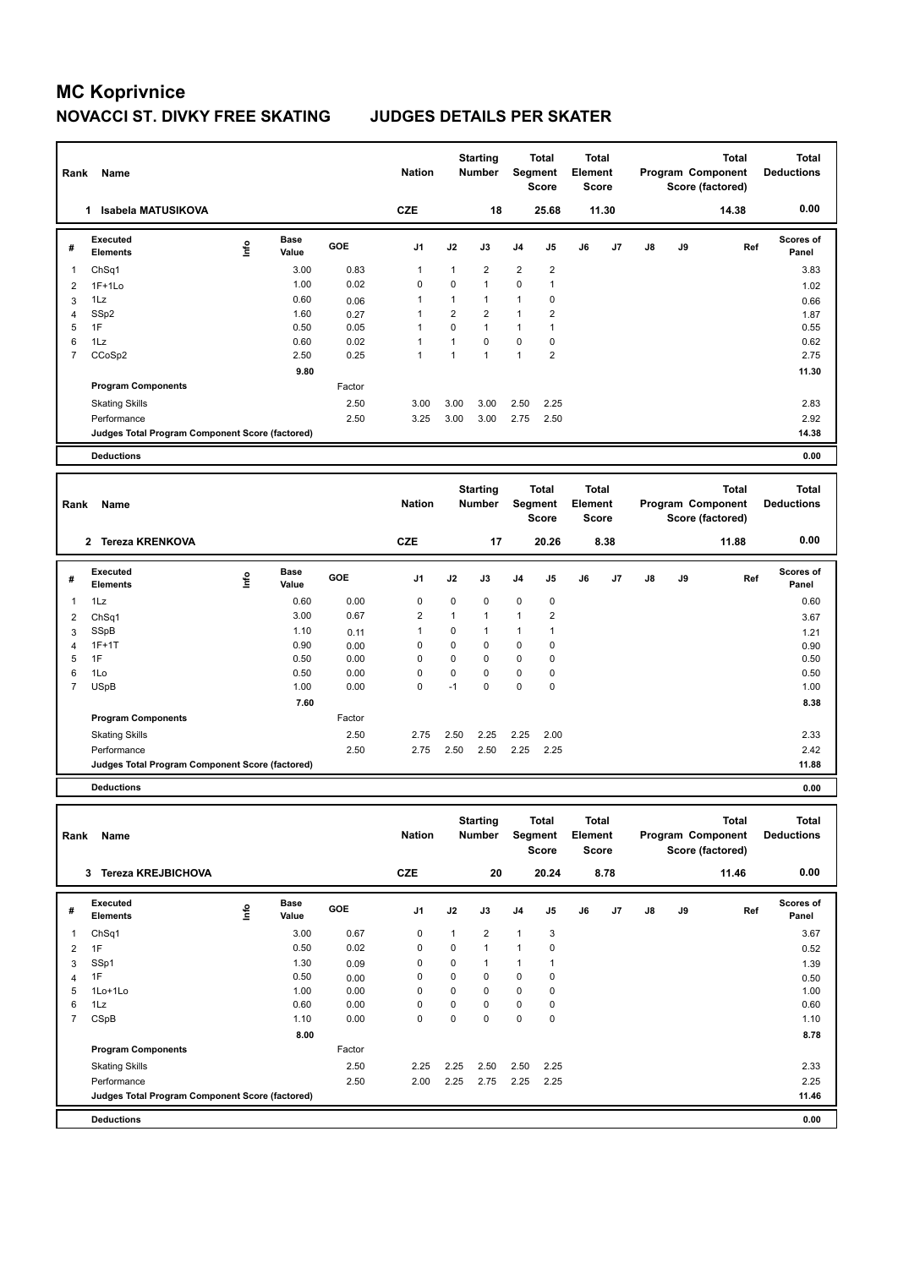| Rank           | Name                                                           |      |                      |        | <b>Nation</b>  |                | <b>Starting</b><br><b>Number</b> |                | <b>Total</b><br>Segment<br><b>Score</b> | <b>Total</b><br>Element<br>Score |       |               |    | <b>Total</b><br>Program Component<br>Score (factored) | <b>Total</b><br><b>Deductions</b> |
|----------------|----------------------------------------------------------------|------|----------------------|--------|----------------|----------------|----------------------------------|----------------|-----------------------------------------|----------------------------------|-------|---------------|----|-------------------------------------------------------|-----------------------------------|
|                | 1 Isabela MATUSIKOVA                                           |      |                      |        | <b>CZE</b>     |                | 18                               |                | 25.68                                   |                                  | 11.30 |               |    | 14.38                                                 | 0.00                              |
| $\#$           | Executed<br><b>Elements</b>                                    | lnfo | <b>Base</b><br>Value | GOE    | J1             | J2             | J3                               | J4             | J <sub>5</sub>                          | J6                               | J7    | $\mathsf{J}8$ | J9 | Ref                                                   | <b>Scores of</b><br>Panel         |
| $\mathbf{1}$   | Ch <sub>Sq1</sub>                                              |      | 3.00                 | 0.83   | $\mathbf{1}$   | $\mathbf{1}$   | $\overline{2}$                   | $\overline{2}$ | $\overline{2}$                          |                                  |       |               |    |                                                       | 3.83                              |
| $\overline{2}$ | $1F+1Lo$                                                       |      | 1.00                 | 0.02   | $\mathbf 0$    | 0              | $\mathbf{1}$                     | $\mathbf 0$    | $\mathbf{1}$                            |                                  |       |               |    |                                                       | 1.02                              |
| 3              | 1Lz                                                            |      | 0.60                 | 0.06   | 1              | $\mathbf{1}$   | $\mathbf{1}$                     | 1              | 0                                       |                                  |       |               |    |                                                       | 0.66                              |
| $\overline{4}$ | SSp2                                                           |      | 1.60                 | 0.27   | 1              | $\overline{2}$ | $\overline{2}$                   | $\mathbf{1}$   | $\overline{2}$                          |                                  |       |               |    |                                                       | 1.87                              |
| 5              | 1F                                                             |      | 0.50                 | 0.05   | 1              | $\overline{0}$ | $\overline{1}$                   | 1              | 1                                       |                                  |       |               |    |                                                       | 0.55                              |
| 6              | 1Lz                                                            |      | 0.60                 | 0.02   | 1              | $\mathbf{1}$   | $\pmb{0}$                        | 0              | $\pmb{0}$                               |                                  |       |               |    |                                                       | 0.62                              |
| $\overline{7}$ | CCoSp2                                                         |      | 2.50                 | 0.25   | 1              | $\mathbf{1}$   | $\overline{1}$                   | $\mathbf{1}$   | 2                                       |                                  |       |               |    |                                                       | 2.75                              |
|                |                                                                |      | 9.80                 |        |                |                |                                  |                |                                         |                                  |       |               |    |                                                       | 11.30                             |
|                | <b>Program Components</b>                                      |      |                      | Factor |                |                |                                  |                |                                         |                                  |       |               |    |                                                       |                                   |
|                | <b>Skating Skills</b>                                          |      |                      | 2.50   | 3.00           | 3.00           | 3.00                             | 2.50           | 2.25                                    |                                  |       |               |    |                                                       | 2.83                              |
|                | Performance                                                    |      |                      | 2.50   | 3.25           | 3.00           | 3.00                             | 2.75           | 2.50                                    |                                  |       |               |    |                                                       | 2.92                              |
|                | Judges Total Program Component Score (factored)                |      |                      |        |                |                |                                  |                |                                         |                                  |       |               |    |                                                       | 14.38                             |
|                |                                                                |      |                      |        |                |                |                                  |                |                                         |                                  |       |               |    |                                                       |                                   |
|                | <b>Deductions</b>                                              |      |                      |        |                |                |                                  |                |                                         |                                  |       |               |    |                                                       | 0.00                              |
|                |                                                                |      |                      |        |                |                |                                  |                |                                         |                                  |       |               |    |                                                       |                                   |
|                |                                                                |      |                      |        |                |                | <b>Starting</b>                  |                | <b>Total</b>                            | <b>Total</b>                     |       |               |    | <b>Total</b>                                          | <b>Total</b>                      |
| Rank           | Name                                                           |      |                      |        | <b>Nation</b>  |                | <b>Number</b>                    | Segment        |                                         | Element                          |       |               |    | Program Component                                     | <b>Deductions</b>                 |
|                |                                                                |      |                      |        |                |                |                                  |                | <b>Score</b>                            | <b>Score</b>                     |       |               |    | Score (factored)                                      |                                   |
|                | 2 Tereza KRENKOVA                                              |      |                      |        | <b>CZE</b>     |                | 17                               |                | 20.26                                   |                                  | 8.38  |               |    | 11.88                                                 | 0.00                              |
|                | Executed                                                       |      | <b>Base</b>          |        |                |                |                                  |                |                                         |                                  |       |               |    |                                                       | Scores of                         |
| #              | <b>Elements</b>                                                | lnfo | Value                | GOE    | J <sub>1</sub> | J2             | J3                               | J4             | J5                                      | J6                               | J7    | J8            | J9 | Ref                                                   | Panel                             |
| $\overline{1}$ | 1Lz                                                            |      | 0.60                 | 0.00   | $\mathbf 0$    | 0              | $\mathbf 0$                      | $\mathbf 0$    | $\mathbf 0$                             |                                  |       |               |    |                                                       | 0.60                              |
| $\overline{2}$ | Ch <sub>Sq1</sub>                                              |      | 3.00                 | 0.67   | $\overline{c}$ | $\mathbf{1}$   | $\mathbf{1}$                     | 1              | 2                                       |                                  |       |               |    |                                                       | 3.67                              |
| 3              | SSpB                                                           |      | 1.10                 | 0.11   | 1              | 0              | $\overline{1}$                   | 1              | $\mathbf{1}$                            |                                  |       |               |    |                                                       | 1.21                              |
| $\overline{4}$ | $1F+1T$                                                        |      | 0.90                 | 0.00   | $\mathbf 0$    | $\Omega$       | $\mathbf 0$                      | $\mathbf 0$    | $\mathbf 0$                             |                                  |       |               |    |                                                       | 0.90                              |
| 5              | 1F                                                             |      | 0.50                 | 0.00   | 0              | 0              | $\mathbf 0$                      | 0              | 0                                       |                                  |       |               |    |                                                       | 0.50                              |
| 6              | 1Lo                                                            |      | 0.50                 | 0.00   | $\mathbf 0$    | 0              | $\mathbf 0$                      | $\mathbf 0$    | $\mathbf 0$                             |                                  |       |               |    |                                                       | 0.50                              |
| $\overline{7}$ | <b>USpB</b>                                                    |      | 1.00                 | 0.00   | $\mathbf 0$    | $-1$           | $\mathbf 0$                      | $\mathbf 0$    | $\mathbf 0$                             |                                  |       |               |    |                                                       | 1.00                              |
|                |                                                                |      | 7.60                 |        |                |                |                                  |                |                                         |                                  |       |               |    |                                                       | 8.38                              |
|                | <b>Program Components</b>                                      |      |                      | Factor |                |                |                                  |                |                                         |                                  |       |               |    |                                                       |                                   |
|                |                                                                |      |                      |        |                |                |                                  |                |                                         |                                  |       |               |    |                                                       |                                   |
|                |                                                                |      |                      |        |                |                |                                  |                |                                         |                                  |       |               |    |                                                       |                                   |
|                | <b>Skating Skills</b>                                          |      |                      | 2.50   | 2.75           | 2.50           | 2.25                             | 2.25           | 2.00                                    |                                  |       |               |    |                                                       | 2.33                              |
|                | Performance<br>Judges Total Program Component Score (factored) |      |                      | 2.50   | 2.75           | 2.50           | 2.50                             | 2.25           | 2.25                                    |                                  |       |               |    |                                                       | 2.42<br>11.88                     |
|                | <b>Deductions</b>                                              |      |                      |        |                |                |                                  |                |                                         |                                  |       |               |    |                                                       | 0.00                              |
|                |                                                                |      |                      |        |                |                |                                  |                |                                         |                                  |       |               |    |                                                       |                                   |
|                |                                                                |      |                      |        |                |                |                                  |                |                                         | <b>Total</b>                     |       |               |    |                                                       | <b>Total</b>                      |
| Rank           | Name                                                           |      |                      |        | <b>Nation</b>  |                | <b>Starting</b><br><b>Number</b> |                | <b>Total</b><br>Segment                 | Element                          |       |               |    | <b>Total</b><br>Program Component                     | <b>Deductions</b>                 |

| Name                        |           |               |                                                 | Nation         |      |                |                |      |                                  |    |                                 |    |       | <b>Deductions</b>                     |
|-----------------------------|-----------|---------------|-------------------------------------------------|----------------|------|----------------|----------------|------|----------------------------------|----|---------------------------------|----|-------|---------------------------------------|
| <b>Tereza KREJBICHOVA</b>   |           |               |                                                 | <b>CZE</b>     |      |                |                |      |                                  |    |                                 |    | 11.46 | 0.00                                  |
| Executed<br><b>Elements</b> | ١nf٥      | Base<br>Value | GOE                                             | J <sub>1</sub> | J2   | J3             | J <sub>4</sub> | J5   | J6                               | J7 | J8                              | J9 | Ref   | <b>Scores of</b><br>Panel             |
| ChSq1                       |           | 3.00          | 0.67                                            | 0              | 1    | $\overline{2}$ | $\overline{1}$ | 3    |                                  |    |                                 |    |       | 3.67                                  |
| 1F                          |           | 0.50          | 0.02                                            | 0              | 0    | 1              | 1              | 0    |                                  |    |                                 |    |       | 0.52                                  |
| SSp1                        |           | 1.30          | 0.09                                            | 0              | 0    | $\overline{1}$ | 1              | 1    |                                  |    |                                 |    |       | 1.39                                  |
| 1F                          |           | 0.50          | 0.00                                            | 0              | 0    | 0              | 0              | 0    |                                  |    |                                 |    |       | 0.50                                  |
| 1Lo+1Lo                     |           | 1.00          | 0.00                                            | 0              | 0    | 0              | 0              | 0    |                                  |    |                                 |    |       | 1.00                                  |
| 1Lz                         |           | 0.60          | 0.00                                            | 0              | 0    | $\Omega$       | $\mathbf 0$    | 0    |                                  |    |                                 |    |       | 0.60                                  |
| CSpB                        |           | 1.10          | 0.00                                            | 0              | 0    | $\mathbf 0$    | $\mathbf 0$    | 0    |                                  |    |                                 |    |       | 1.10                                  |
|                             |           | 8.00          |                                                 |                |      |                |                |      |                                  |    |                                 |    |       | 8.78                                  |
| <b>Program Components</b>   |           |               | Factor                                          |                |      |                |                |      |                                  |    |                                 |    |       |                                       |
| <b>Skating Skills</b>       |           |               | 2.50                                            | 2.25           | 2.25 | 2.50           | 2.50           | 2.25 |                                  |    |                                 |    |       | 2.33                                  |
| Performance                 |           |               | 2.50                                            | 2.00           | 2.25 | 2.75           | 2.25           | 2.25 |                                  |    |                                 |    |       | 2.25                                  |
|                             |           |               |                                                 |                |      |                |                |      |                                  |    |                                 |    |       | 11.46                                 |
| <b>Deductions</b>           |           |               |                                                 |                |      |                |                |      |                                  |    |                                 |    |       | 0.00                                  |
|                             | Rank<br>3 |               | Judges Total Program Component Score (factored) |                |      |                | Number         | 20   | Segment<br><b>Score</b><br>20.24 |    | Element<br><b>Score</b><br>8.78 |    |       | Program Component<br>Score (factored) |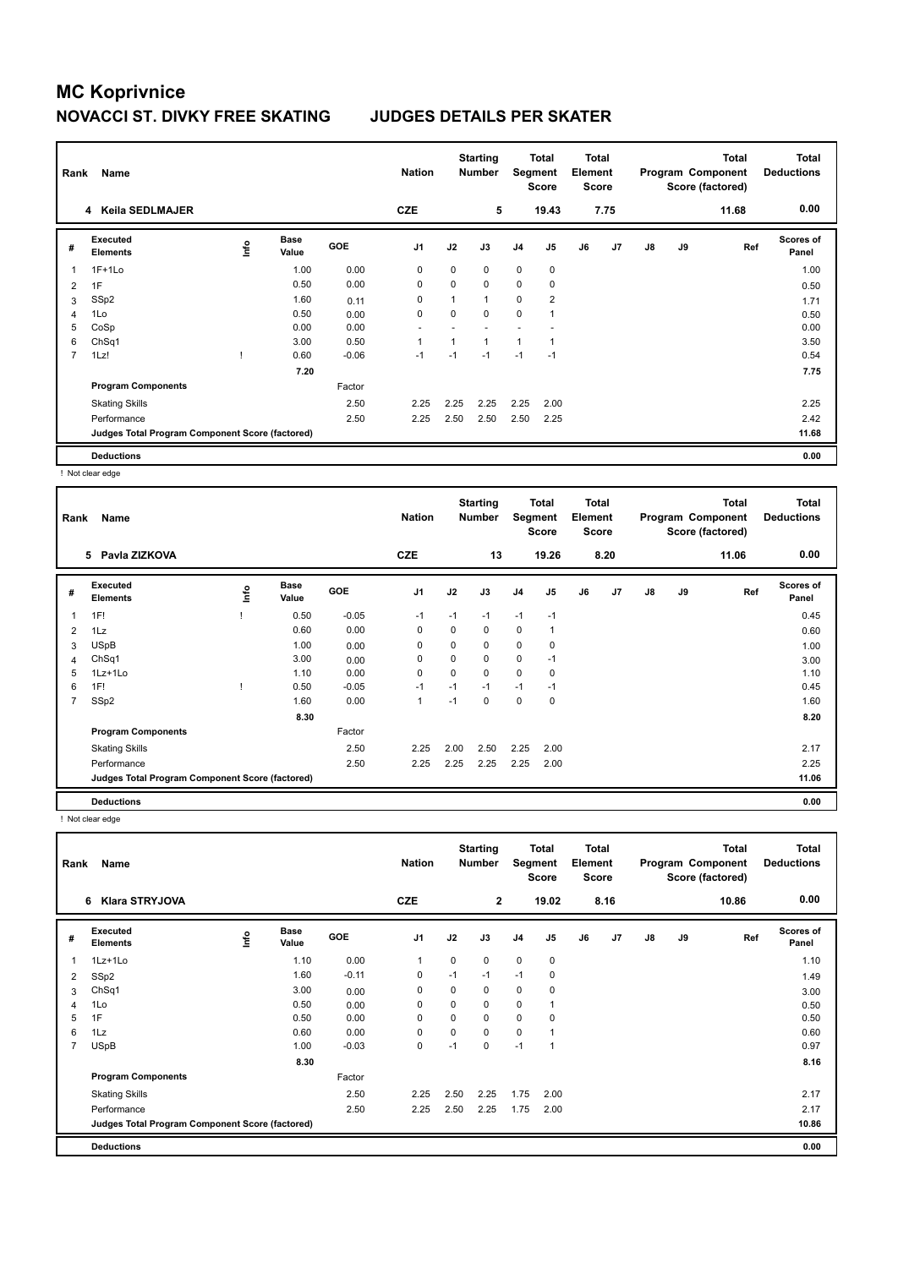| Rank | Name                                            |    |                      |            | <b>Nation</b>  |          | <b>Starting</b><br><b>Number</b> | Segment        | <b>Total</b><br><b>Score</b> | <b>Total</b><br>Element<br><b>Score</b> |                |               |    | <b>Total</b><br>Program Component<br>Score (factored) | Total<br><b>Deductions</b> |
|------|-------------------------------------------------|----|----------------------|------------|----------------|----------|----------------------------------|----------------|------------------------------|-----------------------------------------|----------------|---------------|----|-------------------------------------------------------|----------------------------|
|      | 4 Keila SEDLMAJER                               |    |                      |            | <b>CZE</b>     |          | 5                                |                | 19.43                        |                                         | 7.75           |               |    | 11.68                                                 | 0.00                       |
| #    | Executed<br><b>Elements</b>                     | ۴ů | <b>Base</b><br>Value | <b>GOE</b> | J <sub>1</sub> | J2       | J3                               | J <sub>4</sub> | J <sub>5</sub>               | J6                                      | J <sub>7</sub> | $\mathsf{J}8$ | J9 | Ref                                                   | <b>Scores of</b><br>Panel  |
| 1    | $1F+1Lo$                                        |    | 1.00                 | 0.00       | 0              | $\Omega$ | 0                                | $\mathbf 0$    | 0                            |                                         |                |               |    |                                                       | 1.00                       |
| 2    | 1F                                              |    | 0.50                 | 0.00       | $\mathbf 0$    | $\Omega$ | 0                                | $\mathbf 0$    | 0                            |                                         |                |               |    |                                                       | 0.50                       |
| 3    | SSp2                                            |    | 1.60                 | 0.11       | 0              | 1        | 1                                | 0              | $\overline{2}$               |                                         |                |               |    |                                                       | 1.71                       |
| 4    | 1Lo                                             |    | 0.50                 | 0.00       | 0              | 0        | 0                                | $\mathbf 0$    | 1                            |                                         |                |               |    |                                                       | 0.50                       |
| 5    | CoSp                                            |    | 0.00                 | 0.00       |                |          |                                  |                |                              |                                         |                |               |    |                                                       | 0.00                       |
| 6    | ChSq1                                           |    | 3.00                 | 0.50       |                | 1        | 1                                | $\overline{1}$ | 1                            |                                         |                |               |    |                                                       | 3.50                       |
| 7    | 1Lz!                                            |    | 0.60                 | $-0.06$    | $-1$           | $-1$     | $-1$                             | $-1$           | $-1$                         |                                         |                |               |    |                                                       | 0.54                       |
|      |                                                 |    | 7.20                 |            |                |          |                                  |                |                              |                                         |                |               |    |                                                       | 7.75                       |
|      | <b>Program Components</b>                       |    |                      | Factor     |                |          |                                  |                |                              |                                         |                |               |    |                                                       |                            |
|      | <b>Skating Skills</b>                           |    |                      | 2.50       | 2.25           | 2.25     | 2.25                             | 2.25           | 2.00                         |                                         |                |               |    |                                                       | 2.25                       |
|      | Performance                                     |    |                      | 2.50       | 2.25           | 2.50     | 2.50                             | 2.50           | 2.25                         |                                         |                |               |    |                                                       | 2.42                       |
|      | Judges Total Program Component Score (factored) |    |                      |            |                |          |                                  |                |                              |                                         |                |               |    |                                                       | 11.68                      |
|      | <b>Deductions</b>                               |    |                      |            |                |          |                                  |                |                              |                                         |                |               |    |                                                       | 0.00                       |

! Not clear edge

| Rank           | Name                                            |      |                      |            | <b>Nation</b>  |      | <b>Starting</b><br><b>Number</b> | Segment        | <b>Total</b><br><b>Score</b> | <b>Total</b><br>Element<br><b>Score</b> |      |               |    | <b>Total</b><br>Program Component<br>Score (factored) | <b>Total</b><br><b>Deductions</b> |
|----------------|-------------------------------------------------|------|----------------------|------------|----------------|------|----------------------------------|----------------|------------------------------|-----------------------------------------|------|---------------|----|-------------------------------------------------------|-----------------------------------|
|                | 5 Pavla ZIZKOVA                                 |      |                      |            | <b>CZE</b>     |      | 13                               |                | 19.26                        |                                         | 8.20 |               |    | 11.06                                                 | 0.00                              |
| #              | Executed<br><b>Elements</b>                     | ١nfo | <b>Base</b><br>Value | <b>GOE</b> | J <sub>1</sub> | J2   | J3                               | J <sub>4</sub> | J5                           | J6                                      | J7   | $\mathsf{J}8$ | J9 | Ref                                                   | <b>Scores of</b><br>Panel         |
| 1              | 1F!                                             |      | 0.50                 | $-0.05$    | $-1$           | $-1$ | $-1$                             | $-1$           | $-1$                         |                                         |      |               |    |                                                       | 0.45                              |
| $\overline{2}$ | 1Lz                                             |      | 0.60                 | 0.00       | 0              | 0    | 0                                | 0              | 1                            |                                         |      |               |    |                                                       | 0.60                              |
| 3              | <b>USpB</b>                                     |      | 1.00                 | 0.00       | 0              | 0    | 0                                | $\mathbf 0$    | 0                            |                                         |      |               |    |                                                       | 1.00                              |
| 4              | Ch <sub>Sq1</sub>                               |      | 3.00                 | 0.00       | 0              | 0    | 0                                | 0              | $-1$                         |                                         |      |               |    |                                                       | 3.00                              |
| 5              | $1Lz+1Lo$                                       |      | 1.10                 | 0.00       | 0              | 0    | 0                                | $\mathbf 0$    | 0                            |                                         |      |               |    |                                                       | 1.10                              |
| 6              | 1F!                                             |      | 0.50                 | $-0.05$    | $-1$           | $-1$ | $-1$                             | $-1$           | $-1$                         |                                         |      |               |    |                                                       | 0.45                              |
| 7              | SSp2                                            |      | 1.60                 | 0.00       | 1              | $-1$ | $\Omega$                         | 0              | 0                            |                                         |      |               |    |                                                       | 1.60                              |
|                |                                                 |      | 8.30                 |            |                |      |                                  |                |                              |                                         |      |               |    |                                                       | 8.20                              |
|                | <b>Program Components</b>                       |      |                      | Factor     |                |      |                                  |                |                              |                                         |      |               |    |                                                       |                                   |
|                | <b>Skating Skills</b>                           |      |                      | 2.50       | 2.25           | 2.00 | 2.50                             | 2.25           | 2.00                         |                                         |      |               |    |                                                       | 2.17                              |
|                | Performance                                     |      |                      | 2.50       | 2.25           | 2.25 | 2.25                             | 2.25           | 2.00                         |                                         |      |               |    |                                                       | 2.25                              |
|                | Judges Total Program Component Score (factored) |      |                      |            |                |      |                                  |                |                              |                                         |      |               |    |                                                       | 11.06                             |
|                | <b>Deductions</b>                               |      |                      |            |                |      |                                  |                |                              |                                         |      |               |    |                                                       | 0.00                              |

! Not clear edge

| Rank           | Name                                            |      |                      |            | <b>Nation</b>  |          | <b>Starting</b><br><b>Number</b> | Segment        | Total<br>Score | Total<br>Element<br><b>Score</b> |      |               |    | <b>Total</b><br>Program Component<br>Score (factored) | <b>Total</b><br><b>Deductions</b> |
|----------------|-------------------------------------------------|------|----------------------|------------|----------------|----------|----------------------------------|----------------|----------------|----------------------------------|------|---------------|----|-------------------------------------------------------|-----------------------------------|
|                | Klara STRYJOVA<br>6                             |      |                      |            | <b>CZE</b>     |          | $\mathbf{2}$                     |                | 19.02          |                                  | 8.16 |               |    | 10.86                                                 | 0.00                              |
| #              | Executed<br><b>Elements</b>                     | ١nf٥ | <b>Base</b><br>Value | <b>GOE</b> | J <sub>1</sub> | J2       | J3                               | J <sub>4</sub> | J5             | J6                               | J7   | $\mathsf{J}8$ | J9 | Ref                                                   | <b>Scores of</b><br>Panel         |
|                | 1Lz+1Lo                                         |      | 1.10                 | 0.00       | 1              | 0        | 0                                | $\mathbf 0$    | 0              |                                  |      |               |    |                                                       | 1.10                              |
| 2              | SSp2                                            |      | 1.60                 | $-0.11$    | $\mathbf 0$    | $-1$     | $-1$                             | $-1$           | $\mathbf 0$    |                                  |      |               |    |                                                       | 1.49                              |
| 3              | Ch <sub>Sq1</sub>                               |      | 3.00                 | 0.00       | 0              | 0        | 0                                | 0              | $\mathbf 0$    |                                  |      |               |    |                                                       | 3.00                              |
| 4              | 1Lo                                             |      | 0.50                 | 0.00       | 0              | 0        | 0                                | $\mathbf 0$    |                |                                  |      |               |    |                                                       | 0.50                              |
| 5              | 1F                                              |      | 0.50                 | 0.00       | $\mathbf 0$    | $\Omega$ | 0                                | $\mathbf 0$    | $\mathbf 0$    |                                  |      |               |    |                                                       | 0.50                              |
| 6              | 1Lz                                             |      | 0.60                 | 0.00       | $\mathbf 0$    | 0        | 0                                | $\mathbf 0$    |                |                                  |      |               |    |                                                       | 0.60                              |
| $\overline{7}$ | <b>USpB</b>                                     |      | 1.00                 | $-0.03$    | $\mathbf 0$    | $-1$     | 0                                | $-1$           |                |                                  |      |               |    |                                                       | 0.97                              |
|                |                                                 |      | 8.30                 |            |                |          |                                  |                |                |                                  |      |               |    |                                                       | 8.16                              |
|                | <b>Program Components</b>                       |      |                      | Factor     |                |          |                                  |                |                |                                  |      |               |    |                                                       |                                   |
|                | <b>Skating Skills</b>                           |      |                      | 2.50       | 2.25           | 2.50     | 2.25                             | 1.75           | 2.00           |                                  |      |               |    |                                                       | 2.17                              |
|                | Performance                                     |      |                      | 2.50       | 2.25           | 2.50     | 2.25                             | 1.75           | 2.00           |                                  |      |               |    |                                                       | 2.17                              |
|                | Judges Total Program Component Score (factored) |      |                      |            |                |          |                                  |                |                |                                  |      |               |    |                                                       | 10.86                             |
|                | <b>Deductions</b>                               |      |                      |            |                |          |                                  |                |                |                                  |      |               |    |                                                       | 0.00                              |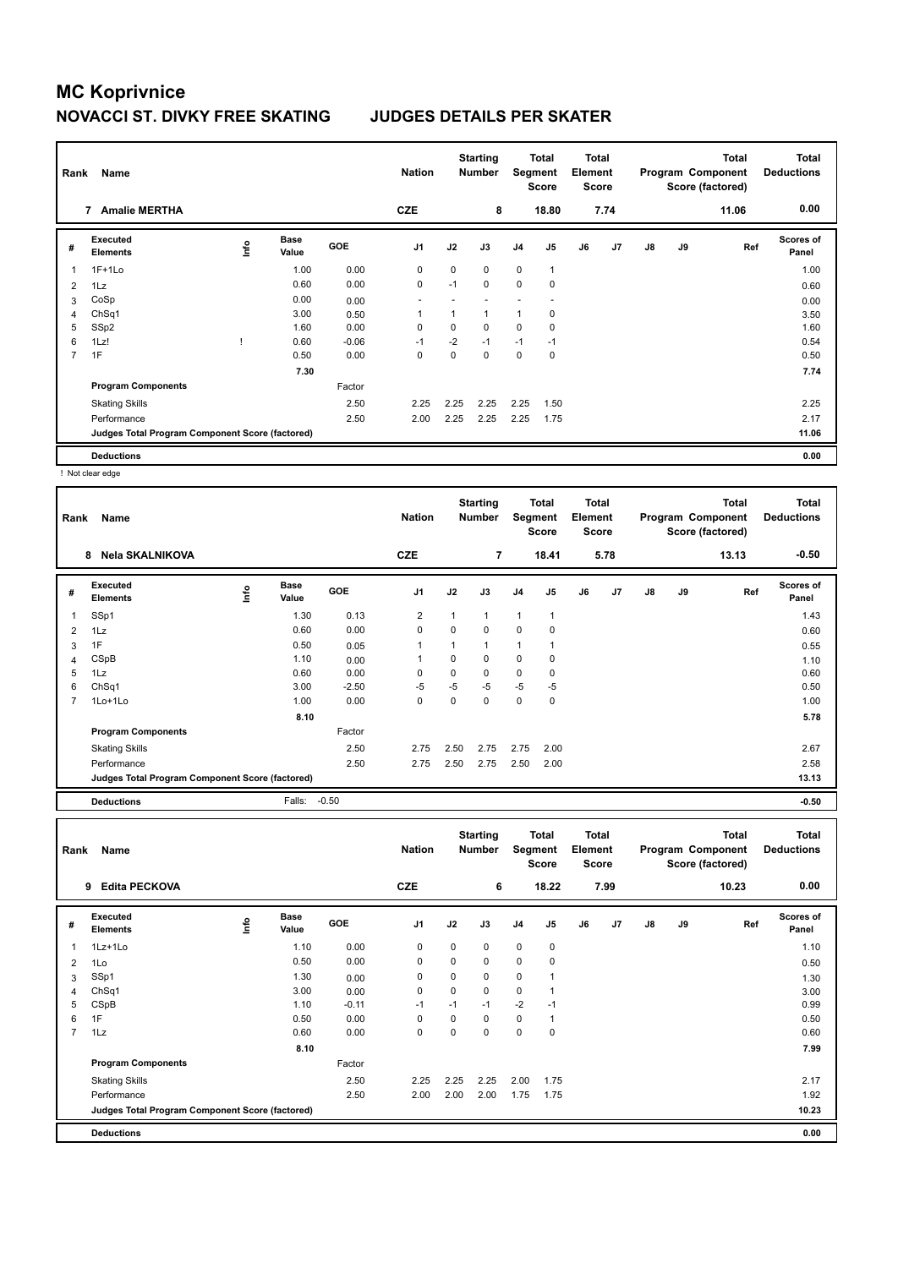| Rank           | Name                                            |    |                      |            | <b>Nation</b>  |          | <b>Starting</b><br><b>Number</b> | Segment        | Total<br><b>Score</b> | <b>Total</b><br>Element<br><b>Score</b> |      |    |    | <b>Total</b><br>Program Component<br>Score (factored) | <b>Total</b><br><b>Deductions</b> |
|----------------|-------------------------------------------------|----|----------------------|------------|----------------|----------|----------------------------------|----------------|-----------------------|-----------------------------------------|------|----|----|-------------------------------------------------------|-----------------------------------|
|                | <b>Amalie MERTHA</b><br>7                       |    |                      |            | <b>CZE</b>     |          | 8                                |                | 18.80                 |                                         | 7.74 |    |    | 11.06                                                 | 0.00                              |
| #              | Executed<br><b>Elements</b>                     | ۴ů | <b>Base</b><br>Value | <b>GOE</b> | J <sub>1</sub> | J2       | J3                               | J <sub>4</sub> | J <sub>5</sub>        | J6                                      | J7   | J8 | J9 | Ref                                                   | <b>Scores of</b><br>Panel         |
| 1              | $1F+1Lo$                                        |    | 1.00                 | 0.00       | 0              | 0        | $\Omega$                         | $\mathbf 0$    | $\mathbf{1}$          |                                         |      |    |    |                                                       | 1.00                              |
| 2              | 1Lz                                             |    | 0.60                 | 0.00       | $\mathbf 0$    | $-1$     | $\mathbf 0$                      | $\mathbf 0$    | 0                     |                                         |      |    |    |                                                       | 0.60                              |
| 3              | CoSp                                            |    | 0.00                 | 0.00       |                |          |                                  |                |                       |                                         |      |    |    |                                                       | 0.00                              |
| 4              | Ch <sub>Sq1</sub>                               |    | 3.00                 | 0.50       |                | 1        | $\mathbf{1}$                     | 1              | 0                     |                                         |      |    |    |                                                       | 3.50                              |
| 5              | SSp2                                            |    | 1.60                 | 0.00       | 0              | $\Omega$ | $\Omega$                         | $\mathbf 0$    | 0                     |                                         |      |    |    |                                                       | 1.60                              |
| 6              | 1Lz!                                            |    | 0.60                 | $-0.06$    | $-1$           | $-2$     | $-1$                             | $-1$           | $-1$                  |                                         |      |    |    |                                                       | 0.54                              |
| $\overline{7}$ | 1F                                              |    | 0.50                 | 0.00       | 0              | 0        | $\Omega$                         | $\mathbf 0$    | 0                     |                                         |      |    |    |                                                       | 0.50                              |
|                |                                                 |    | 7.30                 |            |                |          |                                  |                |                       |                                         |      |    |    |                                                       | 7.74                              |
|                | <b>Program Components</b>                       |    |                      | Factor     |                |          |                                  |                |                       |                                         |      |    |    |                                                       |                                   |
|                | <b>Skating Skills</b>                           |    |                      | 2.50       | 2.25           | 2.25     | 2.25                             | 2.25           | 1.50                  |                                         |      |    |    |                                                       | 2.25                              |
|                | Performance                                     |    |                      | 2.50       | 2.00           | 2.25     | 2.25                             | 2.25           | 1.75                  |                                         |      |    |    |                                                       | 2.17                              |
|                | Judges Total Program Component Score (factored) |    |                      |            |                |          |                                  |                |                       |                                         |      |    |    |                                                       | 11.06                             |
|                | <b>Deductions</b>                               |    |                      |            |                |          |                                  |                |                       |                                         |      |    |    |                                                       | 0.00                              |

! Not clear edge

| Rank | Name                                            |      |                      |         | <b>Nation</b>  |          | <b>Starting</b><br><b>Number</b> | Segment        | Total<br><b>Score</b> | <b>Total</b><br>Element<br><b>Score</b> |      |    |    | <b>Total</b><br>Program Component<br>Score (factored) | <b>Total</b><br><b>Deductions</b> |
|------|-------------------------------------------------|------|----------------------|---------|----------------|----------|----------------------------------|----------------|-----------------------|-----------------------------------------|------|----|----|-------------------------------------------------------|-----------------------------------|
|      | Nela SKALNIKOVA<br>8                            |      |                      |         | <b>CZE</b>     |          | 7                                |                | 18.41                 |                                         | 5.78 |    |    | 13.13                                                 | $-0.50$                           |
| #    | Executed<br><b>Elements</b>                     | ١nf٥ | <b>Base</b><br>Value | GOE     | J <sub>1</sub> | J2       | J3                               | J4             | J5                    | J6                                      | J7   | J8 | J9 | Ref                                                   | Scores of<br>Panel                |
| 1    | SSp1                                            |      | 1.30                 | 0.13    | $\overline{2}$ | 1        | $\mathbf{1}$                     | $\overline{1}$ | 1                     |                                         |      |    |    |                                                       | 1.43                              |
| 2    | 1Lz                                             |      | 0.60                 | 0.00    | $\mathbf 0$    | $\Omega$ | 0                                | $\mathbf 0$    | 0                     |                                         |      |    |    |                                                       | 0.60                              |
| 3    | 1F                                              |      | 0.50                 | 0.05    | $\mathbf 1$    | 1        | $\mathbf{1}$                     | $\overline{1}$ | 1                     |                                         |      |    |    |                                                       | 0.55                              |
| 4    | CSpB                                            |      | 1.10                 | 0.00    | $\mathbf 1$    | $\Omega$ | 0                                | $\mathbf 0$    | 0                     |                                         |      |    |    |                                                       | 1.10                              |
| 5    | 1Lz                                             |      | 0.60                 | 0.00    | $\mathbf 0$    | 0        | 0                                | $\mathbf 0$    | 0                     |                                         |      |    |    |                                                       | 0.60                              |
| 6    | ChSq1                                           |      | 3.00                 | $-2.50$ | $-5$           | $-5$     | $-5$                             | $-5$           | $-5$                  |                                         |      |    |    |                                                       | 0.50                              |
|      | 1Lo+1Lo                                         |      | 1.00                 | 0.00    | 0              | 0        | 0                                | $\mathbf 0$    | 0                     |                                         |      |    |    |                                                       | 1.00                              |
|      |                                                 |      | 8.10                 |         |                |          |                                  |                |                       |                                         |      |    |    |                                                       | 5.78                              |
|      | <b>Program Components</b>                       |      |                      | Factor  |                |          |                                  |                |                       |                                         |      |    |    |                                                       |                                   |
|      | <b>Skating Skills</b>                           |      |                      | 2.50    | 2.75           | 2.50     | 2.75                             | 2.75           | 2.00                  |                                         |      |    |    |                                                       | 2.67                              |
|      | Performance                                     |      |                      | 2.50    | 2.75           | 2.50     | 2.75                             | 2.50           | 2.00                  |                                         |      |    |    |                                                       | 2.58                              |
|      | Judges Total Program Component Score (factored) |      |                      |         |                |          |                                  |                |                       |                                         |      |    |    |                                                       | 13.13                             |
|      | <b>Deductions</b>                               |      | Falls:               | $-0.50$ |                |          |                                  |                |                       |                                         |      |    |    |                                                       | $-0.50$                           |

| Rank           | Name                                            |      |                      |            | <b>Nation</b>  |      | <b>Starting</b><br><b>Number</b> | Segment        | <b>Total</b><br><b>Score</b> | <b>Total</b><br>Element<br><b>Score</b> |      |               |    | <b>Total</b><br>Program Component<br>Score (factored) | <b>Total</b><br><b>Deductions</b> |
|----------------|-------------------------------------------------|------|----------------------|------------|----------------|------|----------------------------------|----------------|------------------------------|-----------------------------------------|------|---------------|----|-------------------------------------------------------|-----------------------------------|
|                | <b>Edita PECKOVA</b><br>9                       |      |                      |            | <b>CZE</b>     |      | 6                                |                | 18.22                        |                                         | 7.99 |               |    | 10.23                                                 | 0.00                              |
| #              | Executed<br><b>Elements</b>                     | Info | <b>Base</b><br>Value | <b>GOE</b> | J <sub>1</sub> | J2   | J3                               | J <sub>4</sub> | J <sub>5</sub>               | J6                                      | J7   | $\mathsf{J}8$ | J9 | Ref                                                   | Scores of<br>Panel                |
|                | 1Lz+1Lo                                         |      | 1.10                 | 0.00       | 0              | 0    | $\mathbf 0$                      | $\mathbf 0$    | $\pmb{0}$                    |                                         |      |               |    |                                                       | 1.10                              |
| 2              | 1Lo                                             |      | 0.50                 | 0.00       | 0              | 0    | $\mathbf 0$                      | 0              | 0                            |                                         |      |               |    |                                                       | 0.50                              |
| 3              | SSp1                                            |      | 1.30                 | 0.00       | 0              | 0    | $\mathbf 0$                      | 0              | 1                            |                                         |      |               |    |                                                       | 1.30                              |
| 4              | Ch <sub>Sq1</sub>                               |      | 3.00                 | 0.00       | 0              | 0    | 0                                | 0              | 1                            |                                         |      |               |    |                                                       | 3.00                              |
| 5              | CSpB                                            |      | 1.10                 | $-0.11$    | $-1$           | $-1$ | $-1$                             | $-2$           | $-1$                         |                                         |      |               |    |                                                       | 0.99                              |
| 6              | 1F                                              |      | 0.50                 | 0.00       | 0              | 0    | $\mathbf 0$                      | 0              | 1                            |                                         |      |               |    |                                                       | 0.50                              |
| $\overline{7}$ | 1Lz                                             |      | 0.60                 | 0.00       | 0              | 0    | $\Omega$                         | 0              | $\mathbf 0$                  |                                         |      |               |    |                                                       | 0.60                              |
|                |                                                 |      | 8.10                 |            |                |      |                                  |                |                              |                                         |      |               |    |                                                       | 7.99                              |
|                | <b>Program Components</b>                       |      |                      | Factor     |                |      |                                  |                |                              |                                         |      |               |    |                                                       |                                   |
|                | <b>Skating Skills</b>                           |      |                      | 2.50       | 2.25           | 2.25 | 2.25                             | 2.00           | 1.75                         |                                         |      |               |    |                                                       | 2.17                              |
|                | Performance                                     |      |                      | 2.50       | 2.00           | 2.00 | 2.00                             | 1.75           | 1.75                         |                                         |      |               |    |                                                       | 1.92                              |
|                | Judges Total Program Component Score (factored) |      |                      |            |                |      |                                  |                |                              |                                         |      |               |    |                                                       | 10.23                             |
|                | <b>Deductions</b>                               |      |                      |            |                |      |                                  |                |                              |                                         |      |               |    |                                                       | 0.00                              |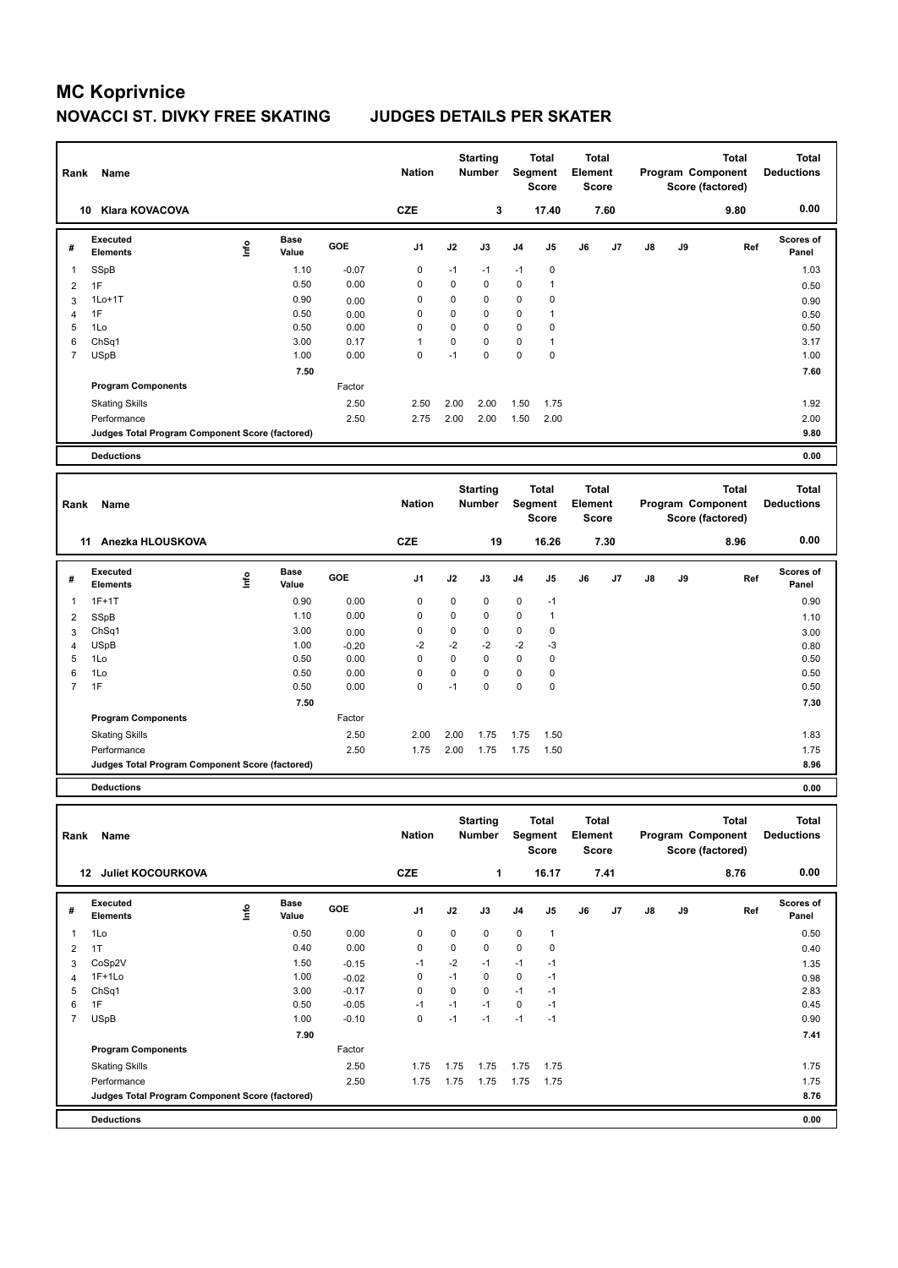| Rank           | Name                                            |             |                      |         | <b>Nation</b>  |             | <b>Starting</b><br><b>Number</b> | Segment     | <b>Total</b><br><b>Score</b> | <b>Total</b><br>Element | <b>Score</b> |    |    | <b>Total</b><br>Program Component<br>Score (factored) | <b>Total</b><br><b>Deductions</b> |
|----------------|-------------------------------------------------|-------------|----------------------|---------|----------------|-------------|----------------------------------|-------------|------------------------------|-------------------------|--------------|----|----|-------------------------------------------------------|-----------------------------------|
|                | 10 Klara KOVACOVA                               |             |                      |         | <b>CZE</b>     |             | 3                                |             | 17.40                        |                         | 7.60         |    |    | 9.80                                                  | 0.00                              |
| #              | <b>Executed</b><br><b>Elements</b>              | lnfo        | <b>Base</b><br>Value | GOE     | J <sub>1</sub> | J2          | J3                               | J4          | J5                           | J6                      | J7           | J8 | J9 | Ref                                                   | <b>Scores of</b><br>Panel         |
| 1              | SSpB                                            |             | 1.10                 | $-0.07$ | 0              | $-1$        | $-1$                             | $-1$        | 0                            |                         |              |    |    |                                                       | 1.03                              |
| $\overline{c}$ | 1F                                              |             | 0.50                 | 0.00    | $\mathbf 0$    | 0           | $\mathbf 0$                      | $\mathbf 0$ | $\mathbf{1}$                 |                         |              |    |    |                                                       | 0.50                              |
| 3              | $1Lo+1T$                                        |             | 0.90                 | 0.00    | $\mathbf 0$    | 0           | $\mathbf 0$                      | $\mathbf 0$ | $\pmb{0}$                    |                         |              |    |    |                                                       | 0.90                              |
| $\overline{4}$ | 1F                                              |             | 0.50                 | 0.00    | $\mathbf 0$    | $\mathbf 0$ | $\mathbf 0$                      | $\mathbf 0$ | $\mathbf{1}$                 |                         |              |    |    |                                                       | 0.50                              |
| 5              | 1Lo                                             |             | 0.50                 | 0.00    | $\mathbf 0$    | 0           | $\mathbf 0$                      | 0           | 0                            |                         |              |    |    |                                                       | 0.50                              |
| 6              | ChSq1                                           |             | 3.00                 | 0.17    | $\overline{1}$ | 0           | $\mathbf 0$                      | $\mathbf 0$ | 1                            |                         |              |    |    |                                                       | 3.17                              |
| $\overline{7}$ | <b>USpB</b>                                     |             | 1.00                 | 0.00    | $\mathbf 0$    | $-1$        | $\mathbf 0$                      | $\mathbf 0$ | $\pmb{0}$                    |                         |              |    |    |                                                       | 1.00                              |
|                |                                                 |             | 7.50                 |         |                |             |                                  |             |                              |                         |              |    |    |                                                       | 7.60                              |
|                | <b>Program Components</b>                       |             |                      | Factor  |                |             |                                  |             |                              |                         |              |    |    |                                                       |                                   |
|                | <b>Skating Skills</b>                           |             |                      | 2.50    | 2.50           | 2.00        | 2.00                             | 1.50        | 1.75                         |                         |              |    |    |                                                       | 1.92                              |
|                | Performance                                     |             |                      | 2.50    | 2.75           | 2.00        | 2.00                             | 1.50        | 2.00                         |                         |              |    |    |                                                       | 2.00                              |
|                | Judges Total Program Component Score (factored) |             |                      |         |                |             |                                  |             |                              |                         |              |    |    |                                                       | 9.80                              |
|                | <b>Deductions</b>                               |             |                      |         |                |             |                                  |             |                              |                         |              |    |    |                                                       | 0.00                              |
|                |                                                 |             |                      |         |                |             |                                  |             |                              |                         |              |    |    |                                                       |                                   |
|                |                                                 |             |                      |         |                |             |                                  |             |                              |                         |              |    |    |                                                       |                                   |
| Rank           | Name                                            |             |                      |         | <b>Nation</b>  |             | <b>Starting</b><br><b>Number</b> | Segment     | <b>Total</b><br><b>Score</b> | <b>Total</b><br>Element | <b>Score</b> |    |    | <b>Total</b><br>Program Component<br>Score (factored) | <b>Total</b><br><b>Deductions</b> |
|                | 11 Anezka HLOUSKOVA                             |             |                      |         | <b>CZE</b>     |             | 19                               |             | 16.26                        |                         | 7.30         |    |    | 8.96                                                  | 0.00                              |
| #              | <b>Executed</b><br><b>Elements</b>              | <u>info</u> | Base<br>Value        | GOE     | J1             | J2          | J3                               | J4          | J5                           | J6                      | J7           | J8 | J9 | Ref                                                   | <b>Scores of</b><br>Panel         |
| $\overline{1}$ | $1F+1T$                                         |             | 0.90                 | 0.00    | $\mathbf 0$    | 0           | 0                                | $\mathbf 0$ | $-1$                         |                         |              |    |    |                                                       | 0.90                              |
| $\overline{2}$ | SSpB                                            |             | 1.10                 | 0.00    | 0              | 0           | $\mathbf 0$                      | 0           | $\mathbf{1}$                 |                         |              |    |    |                                                       | 1.10                              |
| 3              | Ch <sub>Sq1</sub>                               |             | 3.00                 | 0.00    | $\mathbf 0$    | 0           | 0                                | $\mathbf 0$ | $\pmb{0}$                    |                         |              |    |    |                                                       | 3.00                              |
| $\overline{4}$ | <b>USpB</b>                                     |             | 1.00                 | $-0.20$ | $-2$           | $-2$        | $-2$                             | $-2$        | $-3$                         |                         |              |    |    |                                                       | 0.80                              |
| 5              | 1Lo                                             |             | 0.50                 | 0.00    | $\mathbf 0$    | $\mathbf 0$ | $\mathbf 0$                      | $\mathbf 0$ | $\mathbf 0$                  |                         |              |    |    |                                                       | 0.50                              |
| 6              | 1Lo                                             |             | 0.50                 | 0.00    | $\mathbf 0$    | 0           | $\mathbf 0$                      | 0           | 0                            |                         |              |    |    |                                                       | 0.50                              |
| $\overline{7}$ | 1F                                              |             | 0.50                 | 0.00    | $\Omega$       | $-1$        | $\Omega$                         | $\Omega$    | $\mathbf 0$                  |                         |              |    |    |                                                       | 0.50                              |
|                |                                                 |             | 7.50                 |         |                |             |                                  |             |                              |                         |              |    |    |                                                       | 7.30                              |
|                | <b>Program Components</b>                       |             |                      | Factor  |                |             |                                  |             |                              |                         |              |    |    |                                                       |                                   |
|                | <b>Skating Skills</b>                           |             |                      | 2.50    | 2.00           | 2.00        | 1.75                             | 1.75        | 1.50                         |                         |              |    |    |                                                       | 1.83                              |
|                | Performance                                     |             |                      | 2.50    | 1.75           | 2.00        | 1.75                             | 1.75        | 1.50                         |                         |              |    |    |                                                       | 1.75                              |
|                | Judges Total Program Component Score (factored) |             |                      |         |                |             |                                  |             |                              |                         |              |    |    |                                                       | 8.96                              |

**Total Deductions Total Program Component Score (factored) Total Element Score Total Segment Score Starting Rank Name Nation Number # Executed Elements Base Value GOE J1 J2 J3 J4 J5 J6 J7 J8 J9 Scores of Panel** 1 0.50 0.00 0 0 0 0 1 **Ref**  الحواد العاملية التي ينتج بن المعلم التي ينتج بن المعلم التي ينتج بن المعلم التي ينتج بن المعلم التي ينتج بن ا<br>1Lo 11 0.50 0.00 0 0 0 0 1 0.50 0.50 0.00 0 0 0 1 0.50  **12 Juliet KOCOURKOVA CZE 1 16.17 7.41 8.76 0.00** 2 1T 0.40 0.00 0 0 0 0 0 0.40 3 CoSp2V 1.50 -0.15 -1 -2 -1 -1 -1 1.35 4 1F+1Lo 1.00 -0.02 0 -1 0 0 -1 0.98 5 ChSq1 3.00 -0.17 0 0 0 -1 -1 2.83 6 1F 0.50 -0.05 -1 -1 -1 0 -1 0.45 7 USpB 1.00 -0.10 0 -1 -1 -1 -1 0.90  **7.90 7.41 Program Components**  Skating Skills 1.75 1.75 1.75 1.75 1.75 2.50 1.75 Factor Performance 2.50 1.75 1.75 1.75 1.75 1.75 1.75 **Deductions 0.00 Judges Total Program Component Score (factored) 8.76**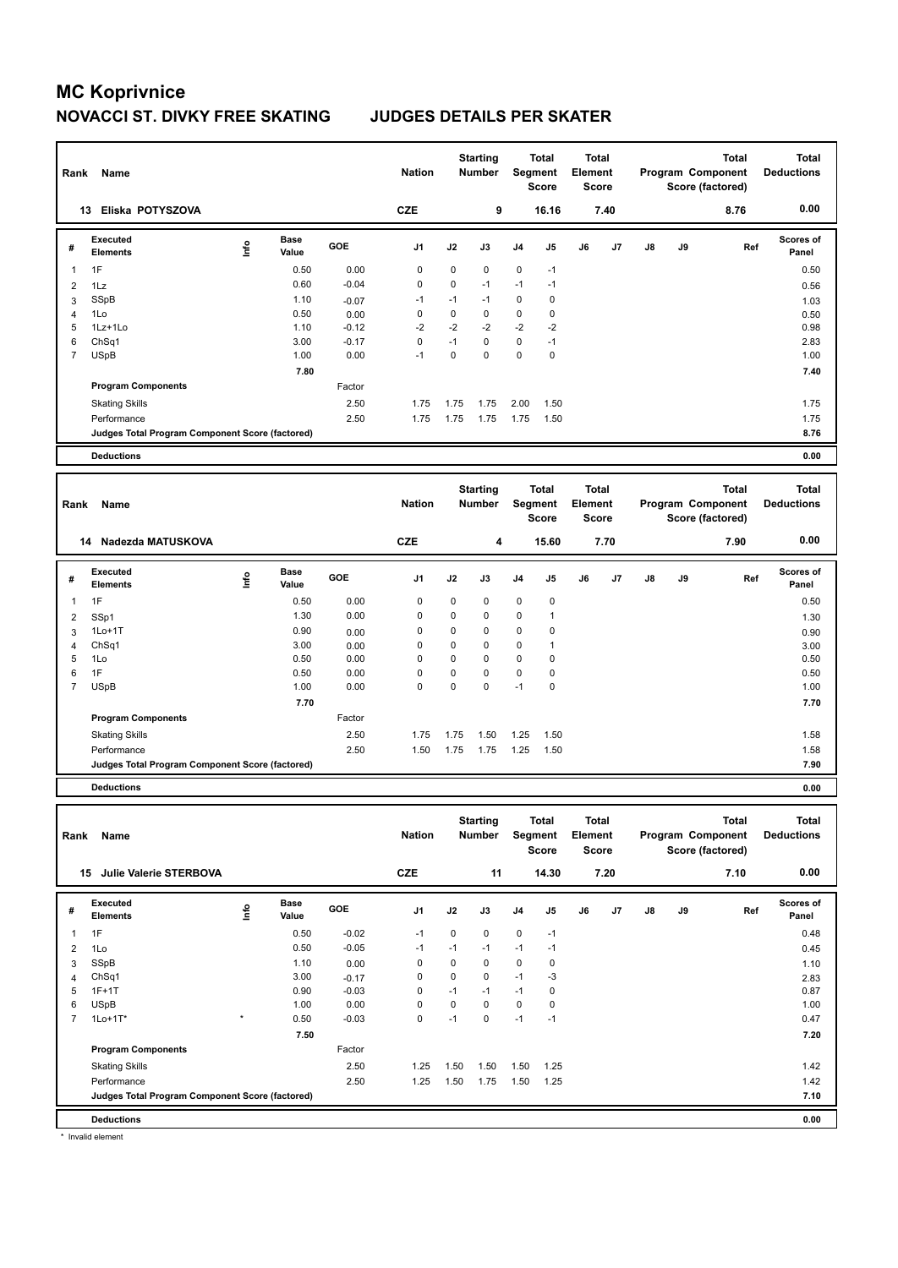| Rank           | Name                                            |            |                      |         | <b>Nation</b>  |             | <b>Starting</b><br><b>Number</b> |              | Total<br>Segment<br><b>Score</b>        | <b>Total</b><br>Element<br><b>Score</b> |      |    |    | <b>Total</b><br>Program Component<br>Score (factored) | <b>Total</b><br><b>Deductions</b> |
|----------------|-------------------------------------------------|------------|----------------------|---------|----------------|-------------|----------------------------------|--------------|-----------------------------------------|-----------------------------------------|------|----|----|-------------------------------------------------------|-----------------------------------|
|                | 13 Eliska POTYSZOVA                             |            |                      |         | <b>CZE</b>     |             | 9                                |              | 16.16                                   |                                         | 7.40 |    |    | 8.76                                                  | 0.00                              |
| #              | Executed<br><b>Elements</b>                     | lnfo       | <b>Base</b><br>Value | GOE     | J1             | J2          | J3                               | J4           | J5                                      | J6                                      | J7   | J8 | J9 | Ref                                                   | Scores of<br>Panel                |
| $\overline{1}$ | 1F                                              |            | 0.50                 | 0.00    | $\mathbf 0$    | 0           | $\mathbf 0$                      | 0            | $-1$                                    |                                         |      |    |    |                                                       | 0.50                              |
| $\overline{2}$ | 1Lz                                             |            | 0.60                 | $-0.04$ | $\mathbf 0$    | 0           | $-1$                             | $-1$         | $-1$                                    |                                         |      |    |    |                                                       | 0.56                              |
| 3              | SSpB                                            |            | 1.10                 | $-0.07$ | $-1$           | $-1$        | $-1$                             | $\mathbf 0$  | $\mathbf 0$                             |                                         |      |    |    |                                                       | 1.03                              |
| $\overline{4}$ | 1Lo                                             |            | 0.50                 | 0.00    | $\mathbf 0$    | $\mathbf 0$ | $\mathbf 0$                      | $\mathbf 0$  | $\mathbf 0$                             |                                         |      |    |    |                                                       | 0.50                              |
| 5              | 1Lz+1Lo                                         |            | 1.10                 | $-0.12$ | $-2$           | $-2$        | $-2$                             | $-2$         | $-2$                                    |                                         |      |    |    |                                                       | 0.98                              |
| 6              | ChSq1                                           |            | 3.00                 | $-0.17$ | $\mathbf 0$    | $-1$        | $\Omega$                         | $\mathbf 0$  | $-1$                                    |                                         |      |    |    |                                                       | 2.83                              |
| $\overline{7}$ | <b>USpB</b>                                     |            | 1.00                 | 0.00    | $-1$           | 0           | $\Omega$                         | $\mathbf 0$  | $\mathbf 0$                             |                                         |      |    |    |                                                       | 1.00                              |
|                |                                                 |            | 7.80                 |         |                |             |                                  |              |                                         |                                         |      |    |    |                                                       | 7.40                              |
|                | <b>Program Components</b>                       |            |                      | Factor  |                |             |                                  |              |                                         |                                         |      |    |    |                                                       |                                   |
|                | <b>Skating Skills</b>                           |            |                      | 2.50    | 1.75           | 1.75        | 1.75                             | 2.00         | 1.50                                    |                                         |      |    |    |                                                       | 1.75                              |
|                | Performance                                     |            |                      | 2.50    | 1.75           | 1.75        | 1.75                             | 1.75         | 1.50                                    |                                         |      |    |    |                                                       | 1.75                              |
|                | Judges Total Program Component Score (factored) |            |                      |         |                |             |                                  |              |                                         |                                         |      |    |    |                                                       | 8.76                              |
|                | <b>Deductions</b>                               |            |                      |         |                |             |                                  |              |                                         |                                         |      |    |    |                                                       | 0.00                              |
|                |                                                 |            |                      |         |                |             |                                  |              |                                         |                                         |      |    |    |                                                       |                                   |
|                |                                                 |            |                      |         |                |             |                                  |              |                                         |                                         |      |    |    |                                                       |                                   |
| Rank           | Name                                            |            |                      |         | <b>Nation</b>  |             | <b>Starting</b><br><b>Number</b> |              | <b>Total</b><br>Segment<br><b>Score</b> | <b>Total</b><br>Element<br><b>Score</b> |      |    |    | <b>Total</b><br>Program Component<br>Score (factored) | <b>Total</b><br><b>Deductions</b> |
|                | Nadezda MATUSKOVA<br>14                         |            |                      |         | <b>CZE</b>     |             | 4                                |              | 15.60                                   |                                         | 7.70 |    |    | 7.90                                                  | 0.00                              |
| #              | Executed<br><b>Elements</b>                     | <u>t</u> o | <b>Base</b><br>Value | GOE     | J <sub>1</sub> | J2          | J3                               | J4           | J5                                      | J6                                      | J7   | J8 | J9 | Ref                                                   | Scores of<br>Panel                |
| $\mathbf 1$    | 1F                                              |            | 0.50                 | 0.00    | $\mathbf 0$    | $\mathbf 0$ | $\mathbf 0$                      | $\mathbf 0$  | $\pmb{0}$                               |                                         |      |    |    |                                                       | 0.50                              |
| 2              | SSp1                                            |            | 1.30                 | 0.00    | $\mathbf 0$    | 0           | $\Omega$                         | $\mathbf 0$  | 1                                       |                                         |      |    |    |                                                       | 1.30                              |
| 3              | $1Lo+1T$                                        |            | 0.90                 | 0.00    | $\mathbf 0$    | 0           | $\mathbf 0$                      | $\mathbf 0$  | $\pmb{0}$                               |                                         |      |    |    |                                                       | 0.90                              |
| $\overline{4}$ | Ch <sub>Sq1</sub>                               |            | 3.00                 | 0.00    | $\mathbf 0$    | 0           | $\mathbf 0$                      | $\mathbf 0$  | 1                                       |                                         |      |    |    |                                                       | 3.00                              |
| 5              | 1Lo                                             |            | 0.50                 | 0.00    | $\mathbf 0$    | 0           | $\Omega$                         | $\mathbf 0$  | 0                                       |                                         |      |    |    |                                                       | 0.50                              |
| 6              | 1F                                              |            | 0.50                 | 0.00    | $\Omega$       | $\Omega$    | $\Omega$                         | $\mathbf 0$  | $\pmb{0}$                               |                                         |      |    |    |                                                       | 0.50                              |
| $\overline{7}$ | <b>USpB</b>                                     |            | 1.00                 | 0.00    | $\mathbf 0$    | 0           | $\mathbf 0$                      | $-1$         | 0                                       |                                         |      |    |    |                                                       | 1.00                              |
|                |                                                 |            | 7.70                 |         |                |             |                                  |              |                                         |                                         |      |    |    |                                                       | 7.70                              |
|                | <b>Program Components</b>                       |            |                      | Factor  |                |             |                                  |              |                                         |                                         |      |    |    |                                                       |                                   |
|                |                                                 |            |                      | 2.50    | 1.75           | 1.75        | 1.50                             |              | 1.50                                    |                                         |      |    |    |                                                       |                                   |
|                | <b>Skating Skills</b><br>Performance            |            |                      | 2.50    | 1.50           | 1.75        | 1.75                             | 1.25<br>1.25 | 1.50                                    |                                         |      |    |    |                                                       | 1.58<br>1.58                      |

**Deductions 0.00**

| Rank           | Name                                            |         |                      |            | <b>Nation</b> |      | <b>Starting</b><br><b>Number</b> | Segment        | Total<br><b>Score</b> | <b>Total</b><br>Element<br><b>Score</b> |      |               |    | <b>Total</b><br>Program Component<br>Score (factored) | Total<br><b>Deductions</b> |
|----------------|-------------------------------------------------|---------|----------------------|------------|---------------|------|----------------------------------|----------------|-----------------------|-----------------------------------------|------|---------------|----|-------------------------------------------------------|----------------------------|
| 15             | <b>Julie Valerie STERBOVA</b>                   |         |                      |            | <b>CZE</b>    |      | 11                               |                | 14.30                 |                                         | 7.20 |               |    | 7.10                                                  | 0.00                       |
| #              | Executed<br><b>Elements</b>                     | lnfo    | <b>Base</b><br>Value | <b>GOE</b> | J1            | J2   | J3                               | J <sub>4</sub> | J <sub>5</sub>        | J6                                      | J7   | $\mathsf{J}8$ | J9 | Ref                                                   | <b>Scores of</b><br>Panel  |
|                | 1F                                              |         | 0.50                 | $-0.02$    | $-1$          | 0    | 0                                | $\mathbf 0$    | $-1$                  |                                         |      |               |    |                                                       | 0.48                       |
| 2              | 1Lo                                             |         | 0.50                 | $-0.05$    | $-1$          | $-1$ | $-1$                             | $-1$           | $-1$                  |                                         |      |               |    |                                                       | 0.45                       |
| 3              | SSpB                                            |         | 1.10                 | 0.00       | 0             | 0    | 0                                | $\mathbf 0$    | 0                     |                                         |      |               |    |                                                       | 1.10                       |
| 4              | Ch <sub>Sq1</sub>                               |         | 3.00                 | $-0.17$    | 0             | 0    | 0                                | $-1$           | $-3$                  |                                         |      |               |    |                                                       | 2.83                       |
| 5              | $1F+1T$                                         |         | 0.90                 | $-0.03$    | $\mathbf 0$   | $-1$ | $-1$                             | $-1$           | 0                     |                                         |      |               |    |                                                       | 0.87                       |
| 6              | <b>USpB</b>                                     |         | 1.00                 | 0.00       | 0             | 0    | 0                                | $\mathbf 0$    | 0                     |                                         |      |               |    |                                                       | 1.00                       |
| $\overline{7}$ | $1$ Lo $+1$ T*                                  | $\star$ | 0.50                 | $-0.03$    | 0             | $-1$ | $\Omega$                         | $-1$           | $-1$                  |                                         |      |               |    |                                                       | 0.47                       |
|                |                                                 |         | 7.50                 |            |               |      |                                  |                |                       |                                         |      |               |    |                                                       | 7.20                       |
|                | <b>Program Components</b>                       |         |                      | Factor     |               |      |                                  |                |                       |                                         |      |               |    |                                                       |                            |
|                | <b>Skating Skills</b>                           |         |                      | 2.50       | 1.25          | 1.50 | 1.50                             | 1.50           | 1.25                  |                                         |      |               |    |                                                       | 1.42                       |
|                | Performance                                     |         |                      | 2.50       | 1.25          | 1.50 | 1.75                             | 1.50           | 1.25                  |                                         |      |               |    |                                                       | 1.42                       |
|                | Judges Total Program Component Score (factored) |         |                      |            |               |      |                                  |                |                       |                                         |      |               |    |                                                       | 7.10                       |
|                | <b>Deductions</b>                               |         |                      |            |               |      |                                  |                |                       |                                         |      |               |    |                                                       | 0.00                       |

\* Invalid element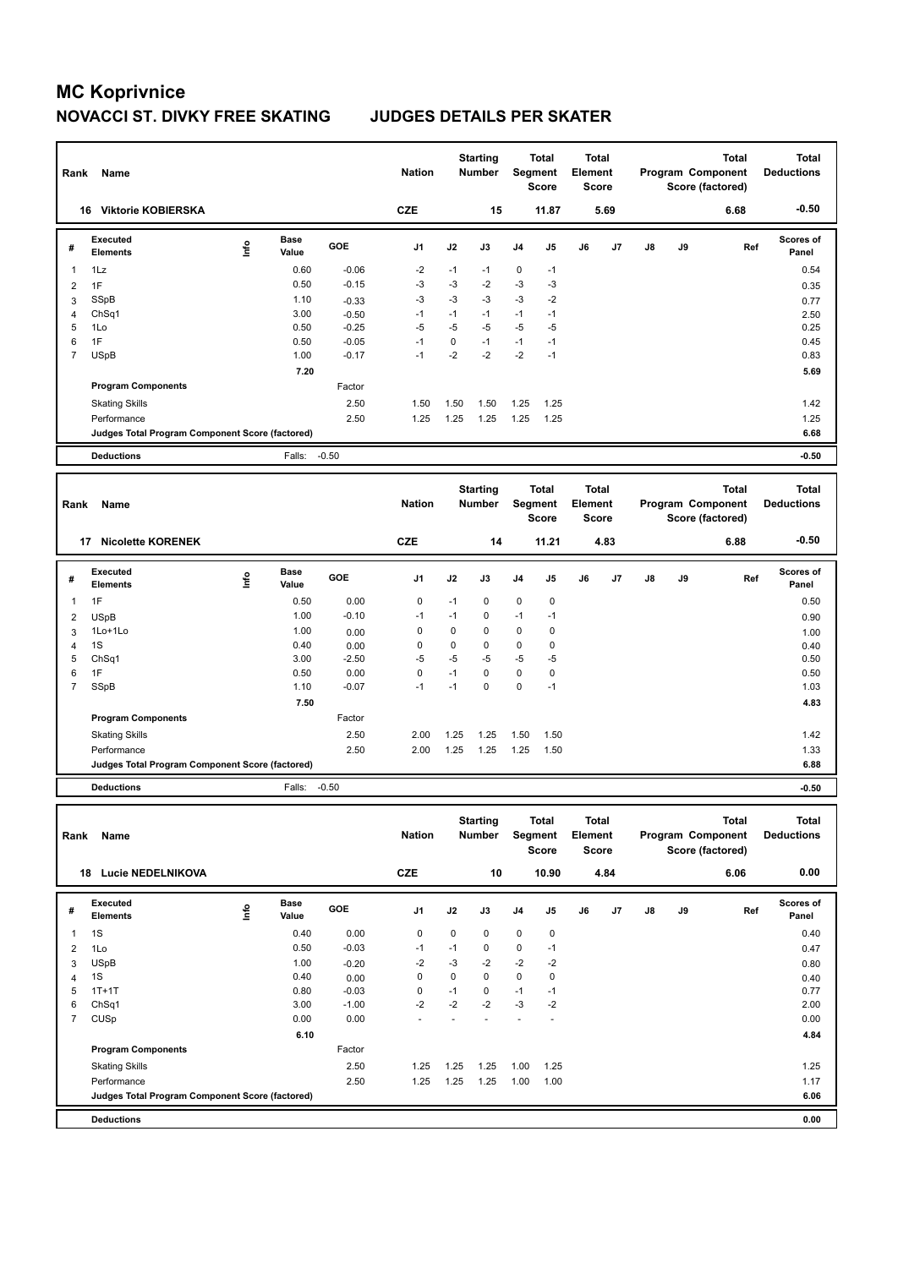| Rank           | Name                                            |      |                      |         | <b>Nation</b>  |             | <b>Starting</b><br><b>Number</b> |             | <b>Total</b><br>Segment<br><b>Score</b> | <b>Total</b><br>Element<br><b>Score</b> |      |    |    | <b>Total</b><br>Program Component<br>Score (factored) | <b>Total</b><br><b>Deductions</b> |
|----------------|-------------------------------------------------|------|----------------------|---------|----------------|-------------|----------------------------------|-------------|-----------------------------------------|-----------------------------------------|------|----|----|-------------------------------------------------------|-----------------------------------|
|                | 16 Viktorie KOBIERSKA                           |      |                      |         | <b>CZE</b>     |             | 15                               |             | 11.87                                   |                                         | 5.69 |    |    | 6.68                                                  | $-0.50$                           |
| #              | <b>Executed</b><br><b>Elements</b>              | lnfo | <b>Base</b><br>Value | GOE     | J1             | J2          | J3                               | J4          | J5                                      | J6                                      | J7   | J8 | J9 | Ref                                                   | Scores of<br>Panel                |
| $\mathbf{1}$   | 1Lz                                             |      | 0.60                 | $-0.06$ | $-2$           | $-1$        | $-1$                             | $\mathbf 0$ | $-1$                                    |                                         |      |    |    |                                                       | 0.54                              |
| $\overline{2}$ | 1F                                              |      | 0.50                 | $-0.15$ | $-3$           | $-3$        | $-2$                             | $-3$        | $-3$                                    |                                         |      |    |    |                                                       | 0.35                              |
| 3              | <b>SSpB</b>                                     |      | 1.10                 | $-0.33$ | $-3$           | $-3$        | $-3$                             | $-3$        | $-2$                                    |                                         |      |    |    |                                                       | 0.77                              |
| $\overline{4}$ | Ch <sub>Sq1</sub>                               |      | 3.00                 | $-0.50$ | $-1$           | $-1$        | $-1$                             | $-1$        | $-1$                                    |                                         |      |    |    |                                                       | 2.50                              |
| 5              | 1Lo                                             |      | 0.50                 | $-0.25$ | $-5$           | $-5$        | $-5$                             | $-5$        | $-5$                                    |                                         |      |    |    |                                                       | 0.25                              |
| 6              | 1F                                              |      | 0.50                 | $-0.05$ | $-1$           | 0           | $-1$                             | $-1$        | $-1$                                    |                                         |      |    |    |                                                       | 0.45                              |
| $\overline{7}$ | <b>USpB</b>                                     |      | 1.00                 | $-0.17$ | $-1$           | $-2$        | $-2$                             | $-2$        | $-1$                                    |                                         |      |    |    |                                                       | 0.83                              |
|                |                                                 |      | 7.20                 |         |                |             |                                  |             |                                         |                                         |      |    |    |                                                       | 5.69                              |
|                | <b>Program Components</b>                       |      |                      | Factor  |                |             |                                  |             |                                         |                                         |      |    |    |                                                       |                                   |
|                | <b>Skating Skills</b>                           |      |                      | 2.50    | 1.50           | 1.50        | 1.50                             | 1.25        | 1.25                                    |                                         |      |    |    |                                                       | 1.42                              |
|                | Performance                                     |      |                      | 2.50    | 1.25           | 1.25        | 1.25                             | 1.25        | 1.25                                    |                                         |      |    |    |                                                       | 1.25                              |
|                | Judges Total Program Component Score (factored) |      |                      |         |                |             |                                  |             |                                         |                                         |      |    |    |                                                       | 6.68                              |
|                | <b>Deductions</b>                               |      | Falls:               | $-0.50$ |                |             |                                  |             |                                         |                                         |      |    |    |                                                       | $-0.50$                           |
|                |                                                 |      |                      |         |                |             |                                  |             |                                         |                                         |      |    |    |                                                       |                                   |
|                |                                                 |      |                      |         |                |             |                                  |             |                                         |                                         |      |    |    |                                                       |                                   |
| Rank           | Name                                            |      |                      |         | <b>Nation</b>  |             | <b>Starting</b><br>Number        |             | <b>Total</b><br>Segment<br><b>Score</b> | <b>Total</b><br>Element<br><b>Score</b> |      |    |    | <b>Total</b><br>Program Component<br>Score (factored) | <b>Total</b><br><b>Deductions</b> |
|                | 17 Nicolette KORENEK                            |      |                      |         | <b>CZE</b>     |             | 14                               |             | 11.21                                   |                                         | 4.83 |    |    | 6.88                                                  | $-0.50$                           |
| #              | <b>Executed</b><br><b>Elements</b>              | lnfo | <b>Base</b><br>Value | GOE     | J1             | J2          | J3                               | J4          | J5                                      | J6                                      | J7   | J8 | J9 | Ref                                                   | Scores of<br>Panel                |
| $\mathbf{1}$   | 1F                                              |      | 0.50                 | 0.00    | 0              | $-1$        | $\Omega$                         | 0           | $\mathbf 0$                             |                                         |      |    |    |                                                       | 0.50                              |
| $\overline{2}$ | <b>USpB</b>                                     |      | 1.00                 | $-0.10$ | $-1$           | $-1$        | 0                                | $-1$        | $-1$                                    |                                         |      |    |    |                                                       | 0.90                              |
| 3              | 1Lo+1Lo                                         |      | 1.00                 | 0.00    | 0              | $\Omega$    | $\Omega$                         | 0           | $\mathbf 0$                             |                                         |      |    |    |                                                       |                                   |
| $\overline{4}$ | 1S                                              |      | 0.40                 | 0.00    | $\overline{0}$ | $\mathbf 0$ | $\Omega$                         | $\Omega$    | $\mathbf 0$                             |                                         |      |    |    |                                                       | 1.00<br>0.40                      |
| 5              | ChSq1                                           |      | 3.00                 | $-2.50$ | -5             | $-5$        | $-5$                             | $-5$        | $-5$                                    |                                         |      |    |    |                                                       | 0.50                              |
| 6              | 1F                                              |      | 0.50                 | 0.00    | $\mathbf 0$    | $-1$        | $\mathbf 0$                      | 0           | $\pmb{0}$                               |                                         |      |    |    |                                                       | 0.50                              |
| $\overline{7}$ | <b>SSpB</b>                                     |      | 1.10                 | $-0.07$ | $-1$           | $-1$        | $\Omega$                         | 0           | $-1$                                    |                                         |      |    |    |                                                       | 1.03                              |
|                |                                                 |      | 7.50                 |         |                |             |                                  |             |                                         |                                         |      |    |    |                                                       | 4.83                              |
|                | <b>Program Components</b>                       |      |                      | Factor  |                |             |                                  |             |                                         |                                         |      |    |    |                                                       |                                   |
|                | <b>Skating Skills</b>                           |      |                      | 2.50    | 2.00           | 1.25        | 1.25                             | 1.50        | 1.50                                    |                                         |      |    |    |                                                       | 1.42                              |
|                | Performance                                     |      |                      | 2.50    | 2.00           | 1.25        | 1.25                             | 1.25        | 1.50                                    |                                         |      |    |    |                                                       | 1.33                              |

**Deductions** Falls: -0.50 **-0.50**

| Rank           | Name                                            |      |                      |            | <b>Nation</b>  |      | <b>Starting</b><br><b>Number</b> | Segment        | Total<br>Score | <b>Total</b><br>Element<br><b>Score</b> |      |               |    | <b>Total</b><br>Program Component<br>Score (factored) | Total<br><b>Deductions</b> |
|----------------|-------------------------------------------------|------|----------------------|------------|----------------|------|----------------------------------|----------------|----------------|-----------------------------------------|------|---------------|----|-------------------------------------------------------|----------------------------|
|                | <b>Lucie NEDELNIKOVA</b><br>18                  |      |                      |            | <b>CZE</b>     |      | 10                               |                | 10.90          |                                         | 4.84 |               |    | 6.06                                                  | 0.00                       |
| #              | <b>Executed</b><br><b>Elements</b>              | ١nf٥ | <b>Base</b><br>Value | <b>GOE</b> | J <sub>1</sub> | J2   | J3                               | J <sub>4</sub> | J <sub>5</sub> | J6                                      | J7   | $\mathsf{J}8$ | J9 | Ref                                                   | <b>Scores of</b><br>Panel  |
| 1              | 1S                                              |      | 0.40                 | 0.00       | 0              | 0    | 0                                | $\mathbf 0$    | 0              |                                         |      |               |    |                                                       | 0.40                       |
| 2              | 1Lo                                             |      | 0.50                 | $-0.03$    | $-1$           | $-1$ | $\mathbf 0$                      | $\mathbf 0$    | $-1$           |                                         |      |               |    |                                                       | 0.47                       |
| 3              | <b>USpB</b>                                     |      | 1.00                 | $-0.20$    | $-2$           | $-3$ | $-2$                             | $-2$           | $-2$           |                                         |      |               |    |                                                       | 0.80                       |
| 4              | 1S                                              |      | 0.40                 | 0.00       | 0              | 0    | $\mathbf 0$                      | $\mathbf 0$    | 0              |                                         |      |               |    |                                                       | 0.40                       |
| 5              | $1T+1T$                                         |      | 0.80                 | $-0.03$    | 0              | $-1$ | 0                                | $-1$           | $-1$           |                                         |      |               |    |                                                       | 0.77                       |
| 6              | Ch <sub>Sq1</sub>                               |      | 3.00                 | $-1.00$    | $-2$           | $-2$ | $-2$                             | $-3$           | $-2$           |                                         |      |               |    |                                                       | 2.00                       |
| $\overline{7}$ | <b>CUSp</b>                                     |      | 0.00                 | 0.00       |                |      |                                  |                | $\overline{a}$ |                                         |      |               |    |                                                       | 0.00                       |
|                |                                                 |      | 6.10                 |            |                |      |                                  |                |                |                                         |      |               |    |                                                       | 4.84                       |
|                | <b>Program Components</b>                       |      |                      | Factor     |                |      |                                  |                |                |                                         |      |               |    |                                                       |                            |
|                | <b>Skating Skills</b>                           |      |                      | 2.50       | 1.25           | 1.25 | 1.25                             | 1.00           | 1.25           |                                         |      |               |    |                                                       | 1.25                       |
|                | Performance                                     |      |                      | 2.50       | 1.25           | 1.25 | 1.25                             | 1.00           | 1.00           |                                         |      |               |    |                                                       | 1.17                       |
|                | Judges Total Program Component Score (factored) |      |                      |            |                |      |                                  |                |                |                                         |      |               |    |                                                       | 6.06                       |
|                | <b>Deductions</b>                               |      |                      |            |                |      |                                  |                |                |                                         |      |               |    |                                                       | 0.00                       |